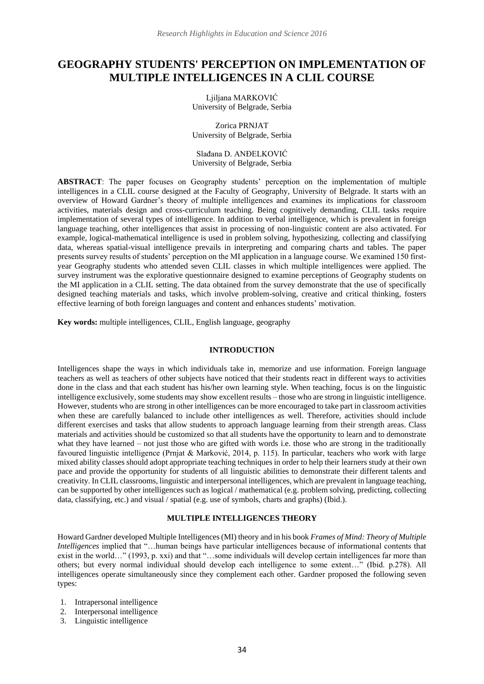# **GEOGRAPHY STUDENTS' PERCEPTION ON IMPLEMENTATION OF MULTIPLE INTELLIGENCES IN A CLIL COURSE**

Ljiljana MARKOVIĆ University of Belgrade, Serbia

Zorica PRNJAT University of Belgrade, Serbia

Slađana D. ANĐELKOVIĆ University of Belgrade, Serbia

**ABSTRACT**: The paper focuses on Geography students' perception on the implementation of multiple intelligences in a CLIL course designed at the Faculty of Geography, University of Belgrade. It starts with an overview of Howard Gardner's theory of multiple intelligences and examines its implications for classroom activities, materials design and cross-curriculum teaching. Being cognitively demanding, CLIL tasks require implementation of several types of intelligence. In addition to verbal intelligence, which is prevalent in foreign language teaching, other intelligences that assist in processing of non-linguistic content are also activated. For example, logical-mathematical intelligence is used in problem solving, hypothesizing, collecting and classifying data, whereas spatial-visual intelligence prevails in interpreting and comparing charts and tables. The paper presents survey results of students' perception on the MI application in a language course. We examined 150 firstyear Geography students who attended seven CLIL classes in which multiple intelligences were applied. The survey instrument was the explorative questionnaire designed to examine perceptions of Geography students on the MI application in a CLIL setting. The data obtained from the survey demonstrate that the use of specifically designed teaching materials and tasks, which involve problem-solving, creative and critical thinking, fosters effective learning of both foreign languages and content and enhances students' motivation.

**Key words:** multiple intelligences, CLIL, English language, geography

#### **INTRODUCTION**

Intelligences shape the ways in which individuals take in, memorize and use information. Foreign language teachers as well as teachers of other subjects have noticed that their students react in different ways to activities done in the class and that each student has his/her own learning style. When teaching, focus is on the linguistic intelligence exclusively, some students may show excellent results – those who are strong in linguistic intelligence. However, students who are strong in other intelligences can be more encouraged to take part in classroom activities when these are carefully balanced to include other intelligences as well. Therefore, activities should include different exercises and tasks that allow students to approach language learning from their strength areas. Class materials and activities should be customized so that all students have the opportunity to learn and to demonstrate what they have learned – not just those who are gifted with words i.e. those who are strong in the traditionally favoured linguistic intelligence (Prnjat & Marković, 2014, p. 115). In particular, teachers who work with large mixed ability classes should adopt appropriate teaching techniques in order to help their learners study at their own pace and provide the opportunity for students of all linguistic abilities to demonstrate their different talents and creativity. In CLIL classrooms, linguistic and interpersonal intelligences, which are prevalent in language teaching, can be supported by other intelligences such as logical / mathematical (e.g. problem solving, predicting, collecting data, classifying, etc.) and visual / spatial (e.g. use of symbols, charts and graphs) (Ibid.).

### **MULTIPLE INTELLIGENCES THEORY**

Howard Gardner developed Multiple Intelligences (MI) theory and in his book *Frames of Mind: Theory of Multiple Intelligences* implied that "…human beings have particular intelligences because of informational contents that exist in the world…" (1993, p. xxi) and that "…some individuals will develop certain intelligences far more than others; but every normal individual should develop each intelligence to some extent…" (Ibid. p.278). All intelligences operate simultaneously since they complement each other. Gardner proposed the following seven types:

- 1. Intrapersonal intelligence
- 2. Interpersonal intelligence
- 3. Linguistic intelligence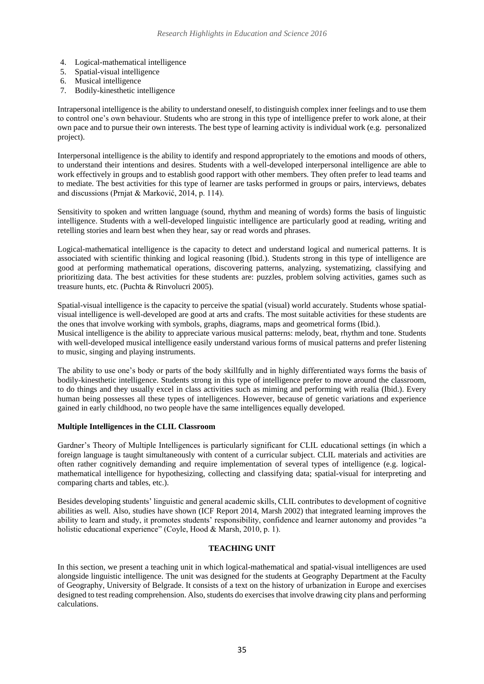- 4. Logical-mathematical intelligence
- 5. Spatial-visual intelligence
- 6. Musical intelligence
- 7. Bodily-kinesthetic intelligence

Intrapersonal intelligence is the ability to understand oneself, to distinguish complex inner feelings and to use them to control one's own behaviour. Students who are strong in this type of intelligence prefer to work alone, at their own pace and to pursue their own interests. The best type of learning activity is individual work (e.g. personalized project).

Interpersonal intelligence is the ability to identify and respond appropriately to the emotions and moods of others, to understand their intentions and desires. Students with a well-developed interpersonal intelligence are able to work effectively in groups and to establish good rapport with other members. They often prefer to lead teams and to mediate. The best activities for this type of learner are tasks performed in groups or pairs, interviews, debates and discussions (Prnjat & Marković, 2014, p. 114).

Sensitivity to spoken and written language (sound, rhythm and meaning of words) forms the basis of linguistic intelligence. Students with a well-developed linguistic intelligence are particularly good at reading, writing and retelling stories and learn best when they hear, say or read words and phrases.

Logical-mathematical intelligence is the capacity to detect and understand logical and numerical patterns. It is associated with scientific thinking and logical reasoning (Ibid.). Students strong in this type of intelligence are good at performing mathematical operations, discovering patterns, analyzing, systematizing, classifying and prioritizing data. The best activities for these students are: puzzles, problem solving activities, games such as treasure hunts, etc. (Puchta & Rinvolucri 2005).

Spatial-visual intelligence is the capacity to perceive the spatial (visual) world accurately. Students whose spatialvisual intelligence is well-developed are good at arts and crafts. The most suitable activities for these students are the ones that involve working with symbols, graphs, diagrams, maps and geometrical forms (Ibid.).

Musical intelligence is the ability to appreciate various musical patterns: melody, beat, rhythm and tone. Students with well-developed musical intelligence easily understand various forms of musical patterns and prefer listening to music, singing and playing instruments.

The ability to use one's body or parts of the body skillfully and in highly differentiated ways forms the basis of bodily-kinesthetic intelligence. Students strong in this type of intelligence prefer to move around the classroom, to do things and they usually excel in class activities such as miming and performing with realia (Ibid.). Every human being possesses all these types of intelligences. However, because of genetic variations and experience gained in early childhood, no two people have the same intelligences equally developed.

# **Multiple Intelligences in the CLIL Classroom**

Gardner's Theory of Multiple Intelligences is particularly significant for CLIL educational settings (in which a foreign language is taught simultaneously with content of a curricular subject. CLIL materials and activities are often rather cognitively demanding and require implementation of several types of intelligence (e.g. logicalmathematical intelligence for hypothesizing, collecting and classifying data; spatial-visual for interpreting and comparing charts and tables, etc.).

Besides developing students' linguistic and general academic skills, CLIL contributes to development of cognitive abilities as well. Also, studies have shown (ICF Report 2014, Marsh 2002) that integrated learning improves the ability to learn and study, it promotes students' responsibility, confidence and learner autonomy and provides "a holistic educational experience" (Coyle, Hood & Marsh, 2010, p. 1).

## **TEACHING UNIT**

In this section, we present a teaching unit in which logical-mathematical and spatial-visual intelligences are used alongside linguistic intelligence. The unit was designed for the students at Geography Department at the Faculty of Geography, University of Belgrade. It consists of a text on the history of urbanization in Europe and exercises designed to test reading comprehension. Also, students do exercises that involve drawing city plans and performing calculations.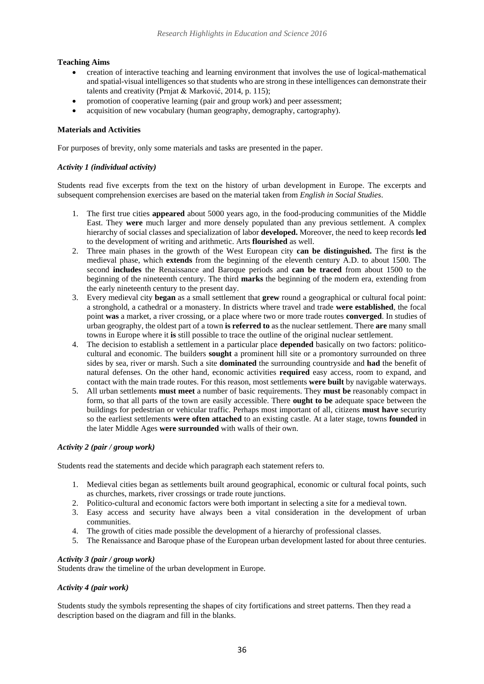# **Teaching Aims**

- creation of interactive teaching and learning environment that involves the use of logical-mathematical and spatial-visual intelligences so that students who are strong in these intelligences can demonstrate their talents and creativity (Prnjat & Marković, 2014, p. 115);
- promotion of cooperative learning (pair and group work) and peer assessment;
- acquisition of new vocabulary (human geography, demography, cartography).

# **Materials and Activities**

For purposes of brevity, only some materials and tasks are presented in the paper.

# *Activity 1 (individual activity)*

Students read five excerpts from the text on the history of urban development in Europe. The excerpts and subsequent comprehension exercises are based on the material taken from *English in Social Studies*.

- 1. The first true cities **appeared** about 5000 years ago, in the food-producing communities of the Middle East. They **were** much larger and more densely populated than any previous settlement. A complex hierarchy of social classes and specialization of labor **developed.** Moreover, the need to keep records **led** to the development of writing and arithmetic. Arts **flourished** as well.
- 2. Three main phases in the growth of the West European city **can be distinguished.** The first **is** the medieval phase, which **extends** from the beginning of the eleventh century A.D. to about 1500. The second **includes** the Renaissance and Baroque periods and **can be traced** from about 1500 to the beginning of the nineteenth century. The third **marks** the beginning of the modern era, extending from the early nineteenth century to the present day.
- 3. Every medieval city **began** as a small settlement that **grew** round a geographical or cultural focal point: a stronghold, a cathedral or a monastery. In districts where travel and trade **were established**, the focal point **was** a market, a river crossing, or a place where two or more trade routes **converged**. In studies of urban geography, the oldest part of a town **is referred to** as the nuclear settlement. There **are** many small towns in Europe where it **is** still possible to trace the outline of the original nuclear settlement.
- 4. The decision to establish a settlement in a particular place **depended** basically on two factors: politicocultural and economic. The builders **sought** a prominent hill site or a promontory surrounded on three sides by sea, river or marsh. Such a site **dominated** the surrounding countryside and **had** the benefit of natural defenses. On the other hand, economic activities **required** easy access, room to expand, and contact with the main trade routes. For this reason, most settlements **were built** by navigable waterways.
- 5. All urban settlements **must meet** a number of basic requirements. They **must be** reasonably compact in form, so that all parts of the town are easily accessible. There **ought to be** adequate space between the buildings for pedestrian or vehicular traffic. Perhaps most important of all, citizens **must have** security so the earliest settlements **were often attached** to an existing castle. At a later stage, towns **founded** in the later Middle Ages **were surrounded** with walls of their own.

## *Activity 2 (pair / group work)*

Students read the statements and decide which paragraph each statement refers to.

- 1. Medieval cities began as settlements built around geographical, economic or cultural focal points, such as churches, markets, river crossings or trade route junctions.
- 2. Politico-cultural and economic factors were both important in selecting a site for a medieval town.
- 3. Easy access and security have always been a vital consideration in the development of urban communities.
- 4. The growth of cities made possible the development of a hierarchy of professional classes.
- 5. The Renaissance and Baroque phase of the European urban development lasted for about three centuries.

## *Activity 3 (pair / group work)*

Students draw the timeline of the urban development in Europe.

## *Activity 4 (pair work)*

Students study the symbols representing the shapes of city fortifications and street patterns. Then they read a description based on the diagram and fill in the blanks.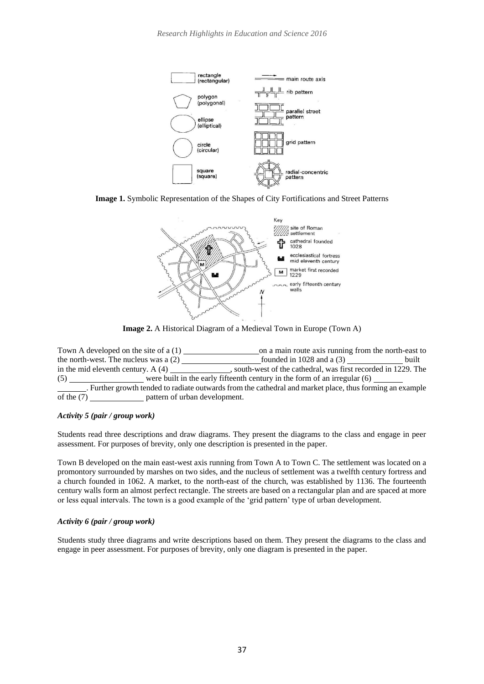

**Image 1.** Symbolic Representation of the Shapes of City Fortifications and Street Patterns



**Image 2.** A Historical Diagram of a Medieval Town in Europe (Town A)

Town A developed on the site of a  $(1)$  on a main route axis running from the north-east to the north-west. The nucleus was a  $(2)$  founded in 1028 and a  $(3)$  built in the mid eleventh century. A (4) , south-west of the cathedral, was first recorded in 1229. The (5) were built in the early fifteenth century in the form of an irregular (6) . Further growth tended to radiate outwards from the cathedral and market place, thus forming an example of the (7) pattern of urban development.

# *Activity 5 (pair / group work)*

Students read three descriptions and draw diagrams. They present the diagrams to the class and engage in peer assessment. For purposes of brevity, only one description is presented in the paper.

Town B developed on the main east-west axis running from Town A to Town C. The settlement was located on a promontory surrounded by marshes on two sides, and the nucleus of settlement was a twelfth century fortress and a church founded in 1062. A market, to the north-east of the church, was established by 1136. The fourteenth century walls form an almost perfect rectangle. The streets are based on a rectangular plan and are spaced at more or less equal intervals. The town is a good example of the 'grid pattern' type of urban development.

#### *Activity 6 (pair / group work)*

Students study three diagrams and write descriptions based on them. They present the diagrams to the class and engage in peer assessment. For purposes of brevity, only one diagram is presented in the paper.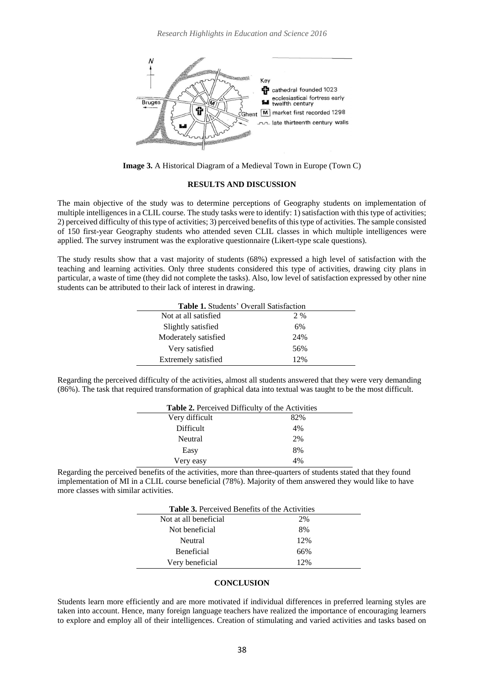

**Image 3.** A Historical Diagram of a Medieval Town in Europe (Town C)

#### **RESULTS AND DISCUSSION**

The main objective of the study was to determine perceptions of Geography students on implementation of multiple intelligences in a CLIL course. The study tasks were to identify: 1) satisfaction with this type of activities; 2) perceived difficulty of this type of activities; 3) perceived benefits of this type of activities. The sample consisted of 150 first-year Geography students who attended seven CLIL classes in which multiple intelligences were applied. The survey instrument was the explorative questionnaire (Likert-type scale questions).

The study results show that a vast majority of students (68%) expressed a high level of satisfaction with the teaching and learning activities. Only three students considered this type of activities, drawing city plans in particular, a waste of time (they did not complete the tasks). Also, low level of satisfaction expressed by other nine students can be attributed to their lack of interest in drawing.

| <b>Table 1.</b> Students' Overall Satisfaction |     |
|------------------------------------------------|-----|
| Not at all satisfied                           | 2 % |
| Slightly satisfied                             | 6%  |
| Moderately satisfied                           | 24% |
| Very satisfied                                 | 56% |
| Extremely satisfied                            | 12% |

Regarding the perceived difficulty of the activities, almost all students answered that they were very demanding (86%). The task that required transformation of graphical data into textual was taught to be the most difficult.

| Table 2. Perceived Difficulty of the Activities |     |
|-------------------------------------------------|-----|
| Very difficult                                  | 82% |
| <b>Difficult</b>                                | 4%  |
| Neutral                                         | 2%  |
| Easy                                            | 8%  |
| Very easy                                       | 4%  |

Regarding the perceived benefits of the activities, more than three-quarters of students stated that they found implementation of MI in a CLIL course beneficial (78%). Majority of them answered they would like to have more classes with similar activities.

| <b>Table 3.</b> Perceived Benefits of the Activities |     |  |
|------------------------------------------------------|-----|--|
| Not at all beneficial                                | 2%  |  |
| Not beneficial                                       | 8%  |  |
| Neutral                                              | 12% |  |
| <b>Beneficial</b>                                    | 66% |  |
| Very beneficial                                      | 12% |  |

#### **CONCLUSION**

Students learn more efficiently and are more motivated if individual differences in preferred learning styles are taken into account. Hence, many foreign language teachers have realized the importance of encouraging learners to explore and employ all of their intelligences. Creation of stimulating and varied activities and tasks based on